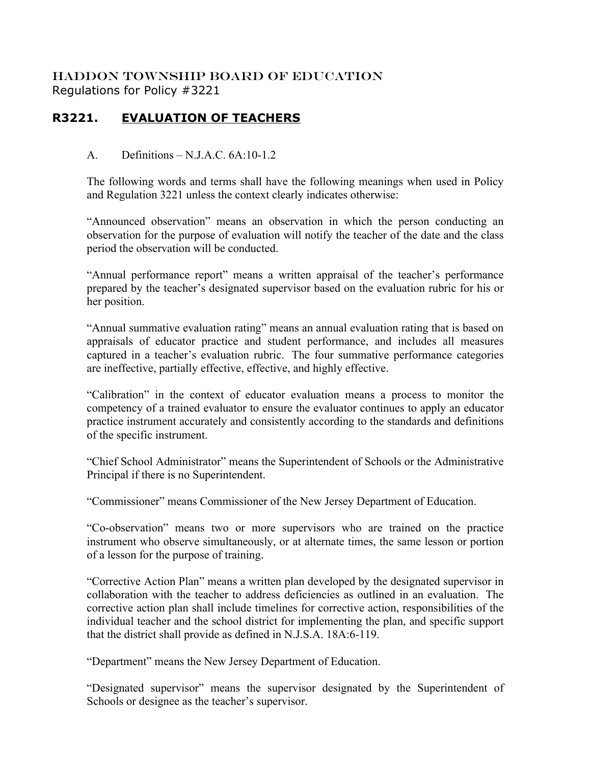HADDON TOWNSHIP BOARD OF EDUCATION Regulations for Policy #3221

## **R3221. EVALUATION OF TEACHERS**

## A. Definitions – N.J.A.C. 6A:10-1.2

The following words and terms shall have the following meanings when used in Policy and Regulation 3221 unless the context clearly indicates otherwise:

"Announced observation" means an observation in which the person conducting an observation for the purpose of evaluation will notify the teacher of the date and the class period the observation will be conducted.

"Annual performance report" means a written appraisal of the teacher's performance prepared by the teacher's designated supervisor based on the evaluation rubric for his or her position.

"Annual summative evaluation rating" means an annual evaluation rating that is based on appraisals of educator practice and student performance, and includes all measures captured in a teacher's evaluation rubric. The four summative performance categories are ineffective, partially effective, effective, and highly effective.

"Calibration" in the context of educator evaluation means a process to monitor the competency of a trained evaluator to ensure the evaluator continues to apply an educator practice instrument accurately and consistently according to the standards and definitions of the specific instrument.

"Chief School Administrator" means the Superintendent of Schools or the Administrative Principal if there is no Superintendent.

"Commissioner" means Commissioner of the New Jersey Department of Education.

"Co-observation" means two or more supervisors who are trained on the practice instrument who observe simultaneously, or at alternate times, the same lesson or portion of a lesson for the purpose of training.

"Corrective Action Plan" means a written plan developed by the designated supervisor in collaboration with the teacher to address deficiencies as outlined in an evaluation. The corrective action plan shall include timelines for corrective action, responsibilities of the individual teacher and the school district for implementing the plan, and specific support that the district shall provide as defined in N.J.S.A. 18A:6-119.

"Department" means the New Jersey Department of Education.

"Designated supervisor" means the supervisor designated by the Superintendent of Schools or designee as the teacher's supervisor.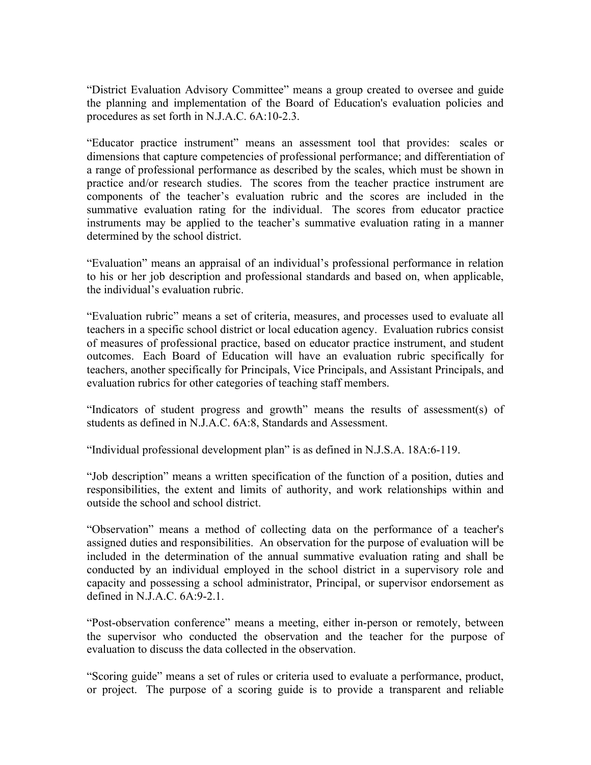"District Evaluation Advisory Committee" means a group created to oversee and guide the planning and implementation of the Board of Education's evaluation policies and procedures as set forth in N.J.A.C. 6A:10-2.3.

"Educator practice instrument" means an assessment tool that provides: scales or dimensions that capture competencies of professional performance; and differentiation of a range of professional performance as described by the scales, which must be shown in practice and/or research studies. The scores from the teacher practice instrument are components of the teacher's evaluation rubric and the scores are included in the summative evaluation rating for the individual. The scores from educator practice instruments may be applied to the teacher's summative evaluation rating in a manner determined by the school district.

"Evaluation" means an appraisal of an individual's professional performance in relation to his or her job description and professional standards and based on, when applicable, the individual's evaluation rubric.

"Evaluation rubric" means a set of criteria, measures, and processes used to evaluate all teachers in a specific school district or local education agency. Evaluation rubrics consist of measures of professional practice, based on educator practice instrument, and student outcomes. Each Board of Education will have an evaluation rubric specifically for teachers, another specifically for Principals, Vice Principals, and Assistant Principals, and evaluation rubrics for other categories of teaching staff members.

"Indicators of student progress and growth" means the results of assessment(s) of students as defined in N.J.A.C. 6A:8, Standards and Assessment.

"Individual professional development plan" is as defined in N.J.S.A. 18A:6-119.

"Job description" means a written specification of the function of a position, duties and responsibilities, the extent and limits of authority, and work relationships within and outside the school and school district.

"Observation" means a method of collecting data on the performance of a teacher's assigned duties and responsibilities. An observation for the purpose of evaluation will be included in the determination of the annual summative evaluation rating and shall be conducted by an individual employed in the school district in a supervisory role and capacity and possessing a school administrator, Principal, or supervisor endorsement as defined in N.J.A.C. 6A:9-2.1.

"Post-observation conference" means a meeting, either in-person or remotely, between the supervisor who conducted the observation and the teacher for the purpose of evaluation to discuss the data collected in the observation.

"Scoring guide" means a set of rules or criteria used to evaluate a performance, product, or project. The purpose of a scoring guide is to provide a transparent and reliable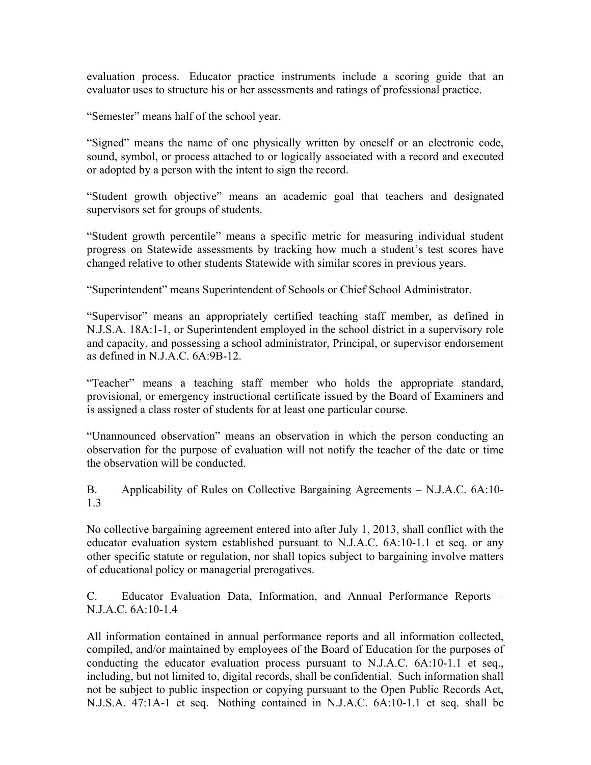evaluation process. Educator practice instruments include a scoring guide that an evaluator uses to structure his or her assessments and ratings of professional practice.

"Semester" means half of the school year.

"Signed" means the name of one physically written by oneself or an electronic code, sound, symbol, or process attached to or logically associated with a record and executed or adopted by a person with the intent to sign the record.

"Student growth objective" means an academic goal that teachers and designated supervisors set for groups of students.

"Student growth percentile" means a specific metric for measuring individual student progress on Statewide assessments by tracking how much a student's test scores have changed relative to other students Statewide with similar scores in previous years.

"Superintendent" means Superintendent of Schools or Chief School Administrator.

"Supervisor" means an appropriately certified teaching staff member, as defined in N.J.S.A. 18A:1-1, or Superintendent employed in the school district in a supervisory role and capacity, and possessing a school administrator, Principal, or supervisor endorsement as defined in N.J.A.C. 6A:9B-12.

"Teacher" means a teaching staff member who holds the appropriate standard, provisional, or emergency instructional certificate issued by the Board of Examiners and is assigned a class roster of students for at least one particular course.

"Unannounced observation" means an observation in which the person conducting an observation for the purpose of evaluation will not notify the teacher of the date or time the observation will be conducted.

B. Applicability of Rules on Collective Bargaining Agreements – N.J.A.C. 6A:10- 1.3

No collective bargaining agreement entered into after July 1, 2013, shall conflict with the educator evaluation system established pursuant to N.J.A.C. 6A:10-1.1 et seq. or any other specific statute or regulation, nor shall topics subject to bargaining involve matters of educational policy or managerial prerogatives.

C. Educator Evaluation Data, Information, and Annual Performance Reports – N.J.A.C. 6A:10-1.4

All information contained in annual performance reports and all information collected, compiled, and/or maintained by employees of the Board of Education for the purposes of conducting the educator evaluation process pursuant to N.J.A.C. 6A:10-1.1 et seq., including, but not limited to, digital records, shall be confidential. Such information shall not be subject to public inspection or copying pursuant to the Open Public Records Act, N.J.S.A. 47:1A-1 et seq. Nothing contained in N.J.A.C. 6A:10-1.1 et seq. shall be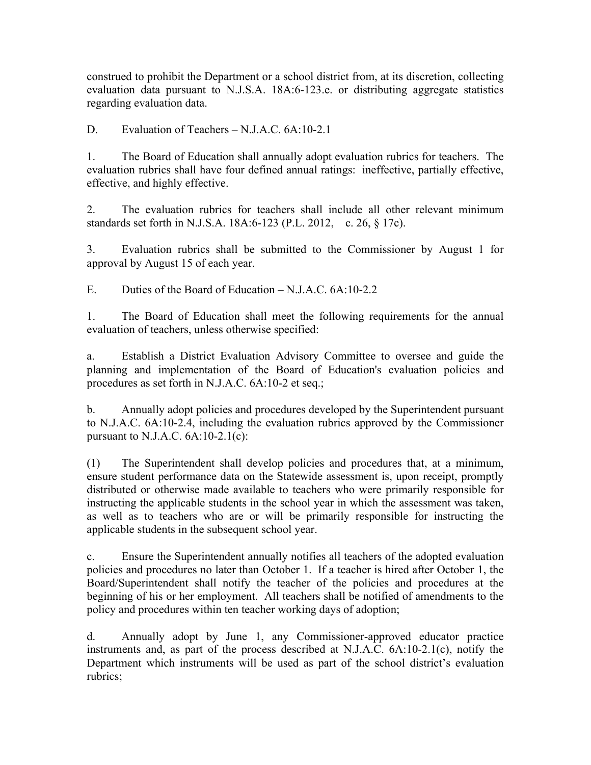construed to prohibit the Department or a school district from, at its discretion, collecting evaluation data pursuant to N.J.S.A. 18A:6-123.e. or distributing aggregate statistics regarding evaluation data.

D. Evaluation of Teachers – N.J.A.C. 6A:10-2.1

1. The Board of Education shall annually adopt evaluation rubrics for teachers. The evaluation rubrics shall have four defined annual ratings: ineffective, partially effective, effective, and highly effective.

2. The evaluation rubrics for teachers shall include all other relevant minimum standards set forth in N.J.S.A. 18A:6-123 (P.L. 2012, c. 26, § 17c).

3. Evaluation rubrics shall be submitted to the Commissioner by August 1 for approval by August 15 of each year.

E. Duties of the Board of Education – N.J.A.C. 6A:10-2.2

1. The Board of Education shall meet the following requirements for the annual evaluation of teachers, unless otherwise specified:

a. Establish a District Evaluation Advisory Committee to oversee and guide the planning and implementation of the Board of Education's evaluation policies and procedures as set forth in N.J.A.C. 6A:10-2 et seq.;

b. Annually adopt policies and procedures developed by the Superintendent pursuant to N.J.A.C. 6A:10-2.4, including the evaluation rubrics approved by the Commissioner pursuant to N.J.A.C.  $6A:10-2.1(c)$ :

(1) The Superintendent shall develop policies and procedures that, at a minimum, ensure student performance data on the Statewide assessment is, upon receipt, promptly distributed or otherwise made available to teachers who were primarily responsible for instructing the applicable students in the school year in which the assessment was taken, as well as to teachers who are or will be primarily responsible for instructing the applicable students in the subsequent school year.

c. Ensure the Superintendent annually notifies all teachers of the adopted evaluation policies and procedures no later than October 1. If a teacher is hired after October 1, the Board/Superintendent shall notify the teacher of the policies and procedures at the beginning of his or her employment. All teachers shall be notified of amendments to the policy and procedures within ten teacher working days of adoption;

d. Annually adopt by June 1, any Commissioner-approved educator practice instruments and, as part of the process described at N.J.A.C. 6A:10-2.1(c), notify the Department which instruments will be used as part of the school district's evaluation rubrics;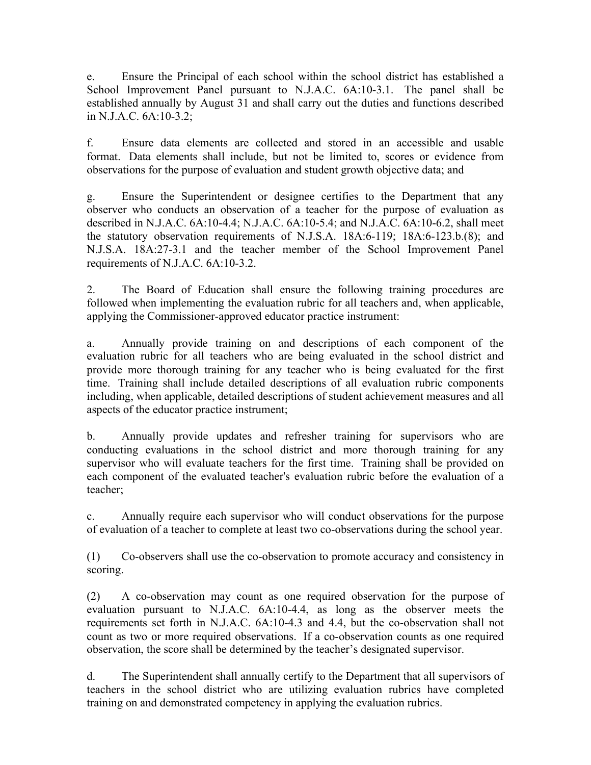e. Ensure the Principal of each school within the school district has established a School Improvement Panel pursuant to N.J.A.C. 6A:10-3.1. The panel shall be established annually by August 31 and shall carry out the duties and functions described in N.J.A.C. 6A:10-3.2;

f. Ensure data elements are collected and stored in an accessible and usable format. Data elements shall include, but not be limited to, scores or evidence from observations for the purpose of evaluation and student growth objective data; and

g. Ensure the Superintendent or designee certifies to the Department that any observer who conducts an observation of a teacher for the purpose of evaluation as described in N.J.A.C. 6A:10-4.4; N.J.A.C. 6A:10-5.4; and N.J.A.C. 6A:10-6.2, shall meet the statutory observation requirements of N.J.S.A. 18A:6-119; 18A:6-123.b.(8); and N.J.S.A. 18A:27-3.1 and the teacher member of the School Improvement Panel requirements of N.J.A.C. 6A:10-3.2.

2. The Board of Education shall ensure the following training procedures are followed when implementing the evaluation rubric for all teachers and, when applicable, applying the Commissioner-approved educator practice instrument:

a. Annually provide training on and descriptions of each component of the evaluation rubric for all teachers who are being evaluated in the school district and provide more thorough training for any teacher who is being evaluated for the first time. Training shall include detailed descriptions of all evaluation rubric components including, when applicable, detailed descriptions of student achievement measures and all aspects of the educator practice instrument;

b. Annually provide updates and refresher training for supervisors who are conducting evaluations in the school district and more thorough training for any supervisor who will evaluate teachers for the first time. Training shall be provided on each component of the evaluated teacher's evaluation rubric before the evaluation of a teacher;

c. Annually require each supervisor who will conduct observations for the purpose of evaluation of a teacher to complete at least two co-observations during the school year.

(1) Co-observers shall use the co-observation to promote accuracy and consistency in scoring.

(2) A co-observation may count as one required observation for the purpose of evaluation pursuant to N.J.A.C. 6A:10-4.4, as long as the observer meets the requirements set forth in N.J.A.C. 6A:10-4.3 and 4.4, but the co-observation shall not count as two or more required observations. If a co-observation counts as one required observation, the score shall be determined by the teacher's designated supervisor.

d. The Superintendent shall annually certify to the Department that all supervisors of teachers in the school district who are utilizing evaluation rubrics have completed training on and demonstrated competency in applying the evaluation rubrics.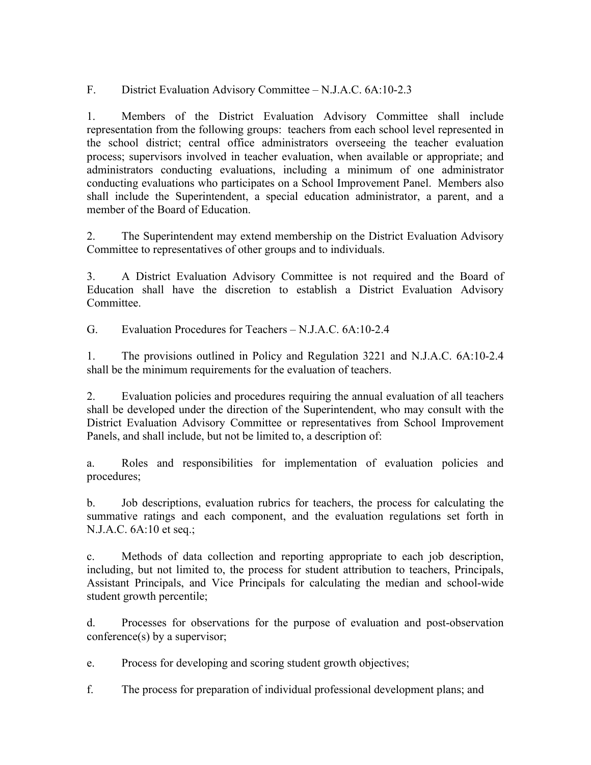F. District Evaluation Advisory Committee – N.J.A.C. 6A:10-2.3

1. Members of the District Evaluation Advisory Committee shall include representation from the following groups: teachers from each school level represented in the school district; central office administrators overseeing the teacher evaluation process; supervisors involved in teacher evaluation, when available or appropriate; and administrators conducting evaluations, including a minimum of one administrator conducting evaluations who participates on a School Improvement Panel. Members also shall include the Superintendent, a special education administrator, a parent, and a member of the Board of Education.

2. The Superintendent may extend membership on the District Evaluation Advisory Committee to representatives of other groups and to individuals.

3. A District Evaluation Advisory Committee is not required and the Board of Education shall have the discretion to establish a District Evaluation Advisory **Committee** 

G. Evaluation Procedures for Teachers – N.J.A.C. 6A:10-2.4

1. The provisions outlined in Policy and Regulation 3221 and N.J.A.C. 6A:10-2.4 shall be the minimum requirements for the evaluation of teachers.

2. Evaluation policies and procedures requiring the annual evaluation of all teachers shall be developed under the direction of the Superintendent, who may consult with the District Evaluation Advisory Committee or representatives from School Improvement Panels, and shall include, but not be limited to, a description of:

a. Roles and responsibilities for implementation of evaluation policies and procedures;

b. Job descriptions, evaluation rubrics for teachers, the process for calculating the summative ratings and each component, and the evaluation regulations set forth in N.J.A.C. 6A:10 et seq.;

c. Methods of data collection and reporting appropriate to each job description, including, but not limited to, the process for student attribution to teachers, Principals, Assistant Principals, and Vice Principals for calculating the median and school-wide student growth percentile;

d. Processes for observations for the purpose of evaluation and post-observation conference(s) by a supervisor;

e. Process for developing and scoring student growth objectives;

f. The process for preparation of individual professional development plans; and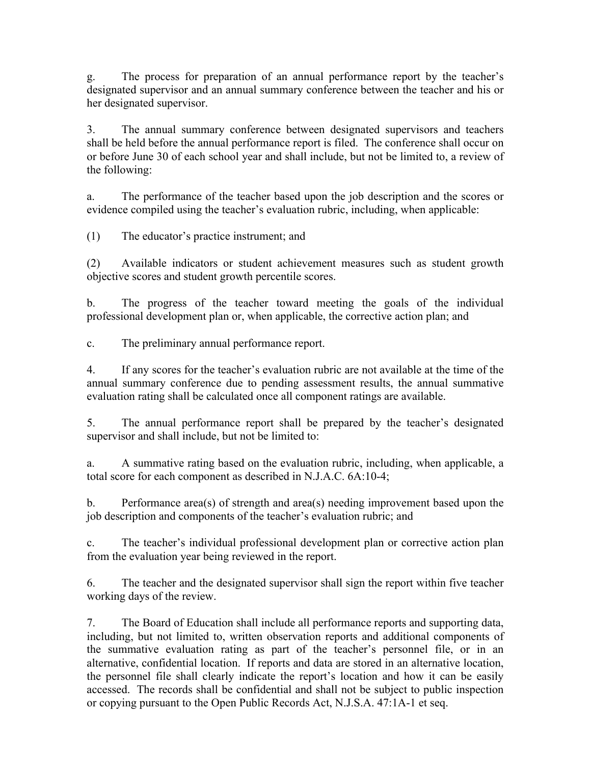g. The process for preparation of an annual performance report by the teacher's designated supervisor and an annual summary conference between the teacher and his or her designated supervisor.

3. The annual summary conference between designated supervisors and teachers shall be held before the annual performance report is filed. The conference shall occur on or before June 30 of each school year and shall include, but not be limited to, a review of the following:

a. The performance of the teacher based upon the job description and the scores or evidence compiled using the teacher's evaluation rubric, including, when applicable:

(1) The educator's practice instrument; and

(2) Available indicators or student achievement measures such as student growth objective scores and student growth percentile scores.

b. The progress of the teacher toward meeting the goals of the individual professional development plan or, when applicable, the corrective action plan; and

c. The preliminary annual performance report.

4. If any scores for the teacher's evaluation rubric are not available at the time of the annual summary conference due to pending assessment results, the annual summative evaluation rating shall be calculated once all component ratings are available.

5. The annual performance report shall be prepared by the teacher's designated supervisor and shall include, but not be limited to:

a. A summative rating based on the evaluation rubric, including, when applicable, a total score for each component as described in N.J.A.C. 6A:10-4;

b. Performance area(s) of strength and area(s) needing improvement based upon the job description and components of the teacher's evaluation rubric; and

c. The teacher's individual professional development plan or corrective action plan from the evaluation year being reviewed in the report.

6. The teacher and the designated supervisor shall sign the report within five teacher working days of the review.

7. The Board of Education shall include all performance reports and supporting data, including, but not limited to, written observation reports and additional components of the summative evaluation rating as part of the teacher's personnel file, or in an alternative, confidential location. If reports and data are stored in an alternative location, the personnel file shall clearly indicate the report's location and how it can be easily accessed. The records shall be confidential and shall not be subject to public inspection or copying pursuant to the Open Public Records Act, N.J.S.A. 47:1A-1 et seq.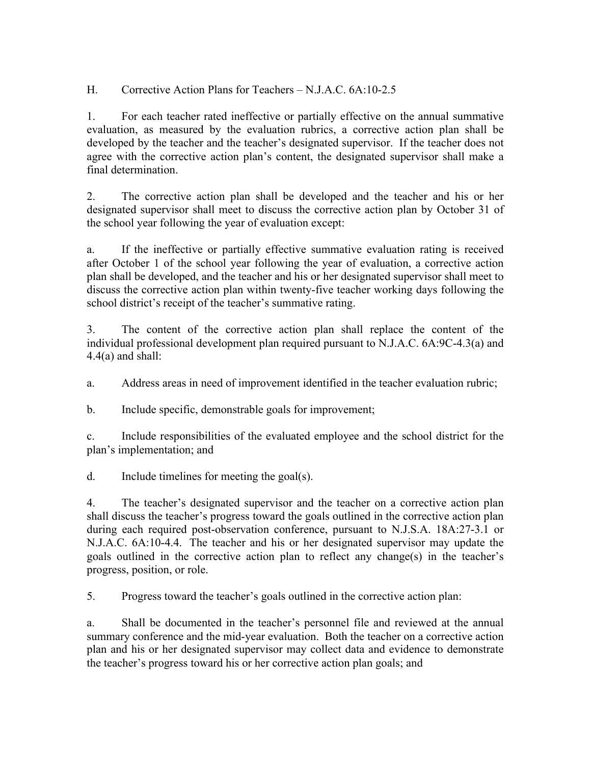H. Corrective Action Plans for Teachers – N.J.A.C. 6A:10-2.5

1. For each teacher rated ineffective or partially effective on the annual summative evaluation, as measured by the evaluation rubrics, a corrective action plan shall be developed by the teacher and the teacher's designated supervisor. If the teacher does not agree with the corrective action plan's content, the designated supervisor shall make a final determination.

2. The corrective action plan shall be developed and the teacher and his or her designated supervisor shall meet to discuss the corrective action plan by October 31 of the school year following the year of evaluation except:

a. If the ineffective or partially effective summative evaluation rating is received after October 1 of the school year following the year of evaluation, a corrective action plan shall be developed, and the teacher and his or her designated supervisor shall meet to discuss the corrective action plan within twenty-five teacher working days following the school district's receipt of the teacher's summative rating.

3. The content of the corrective action plan shall replace the content of the individual professional development plan required pursuant to N.J.A.C. 6A:9C-4.3(a) and  $4.4(a)$  and shall:

a. Address areas in need of improvement identified in the teacher evaluation rubric;

b. Include specific, demonstrable goals for improvement;

c. Include responsibilities of the evaluated employee and the school district for the plan's implementation; and

d. Include timelines for meeting the goal(s).

4. The teacher's designated supervisor and the teacher on a corrective action plan shall discuss the teacher's progress toward the goals outlined in the corrective action plan during each required post-observation conference, pursuant to N.J.S.A. 18A:27-3.1 or N.J.A.C. 6A:10-4.4. The teacher and his or her designated supervisor may update the goals outlined in the corrective action plan to reflect any change(s) in the teacher's progress, position, or role.

5. Progress toward the teacher's goals outlined in the corrective action plan:

a. Shall be documented in the teacher's personnel file and reviewed at the annual summary conference and the mid-year evaluation. Both the teacher on a corrective action plan and his or her designated supervisor may collect data and evidence to demonstrate the teacher's progress toward his or her corrective action plan goals; and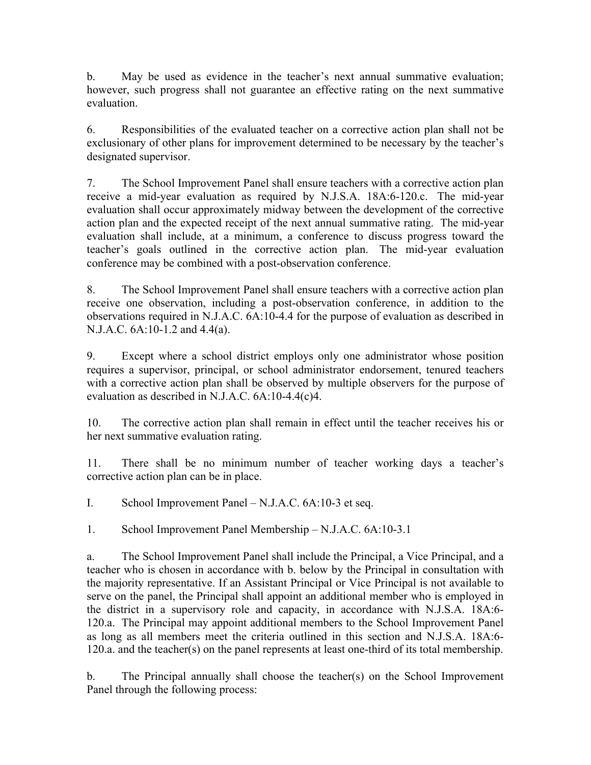b. May be used as evidence in the teacher's next annual summative evaluation; however, such progress shall not guarantee an effective rating on the next summative evaluation.

6. Responsibilities of the evaluated teacher on a corrective action plan shall not be exclusionary of other plans for improvement determined to be necessary by the teacher's designated supervisor.

7. The School Improvement Panel shall ensure teachers with a corrective action plan receive a mid-year evaluation as required by N.J.S.A. 18A:6-120.c. The mid-year evaluation shall occur approximately midway between the development of the corrective action plan and the expected receipt of the next annual summative rating. The mid-year evaluation shall include, at a minimum, a conference to discuss progress toward the teacher's goals outlined in the corrective action plan. The mid-year evaluation conference may be combined with a post-observation conference.

8. The School Improvement Panel shall ensure teachers with a corrective action plan receive one observation, including a post-observation conference, in addition to the observations required in N.J.A.C. 6A:10-4.4 for the purpose of evaluation as described in N.J.A.C. 6A:10-1.2 and 4.4(a).

9. Except where a school district employs only one administrator whose position requires a supervisor, principal, or school administrator endorsement, tenured teachers with a corrective action plan shall be observed by multiple observers for the purpose of evaluation as described in N.J.A.C. 6A:10-4.4(c)4.

10. The corrective action plan shall remain in effect until the teacher receives his or her next summative evaluation rating.

11. There shall be no minimum number of teacher working days a teacher's corrective action plan can be in place.

I. School Improvement Panel – N.J.A.C. 6A:10-3 et seq.

1. School Improvement Panel Membership – N.J.A.C. 6A:10-3.1

a. The School Improvement Panel shall include the Principal, a Vice Principal, and a teacher who is chosen in accordance with b. below by the Principal in consultation with the majority representative. If an Assistant Principal or Vice Principal is not available to serve on the panel, the Principal shall appoint an additional member who is employed in the district in a supervisory role and capacity, in accordance with N.J.S.A. 18A:6- 120.a. The Principal may appoint additional members to the School Improvement Panel as long as all members meet the criteria outlined in this section and N.J.S.A. 18A:6- 120.a. and the teacher(s) on the panel represents at least one-third of its total membership.

b. The Principal annually shall choose the teacher(s) on the School Improvement Panel through the following process: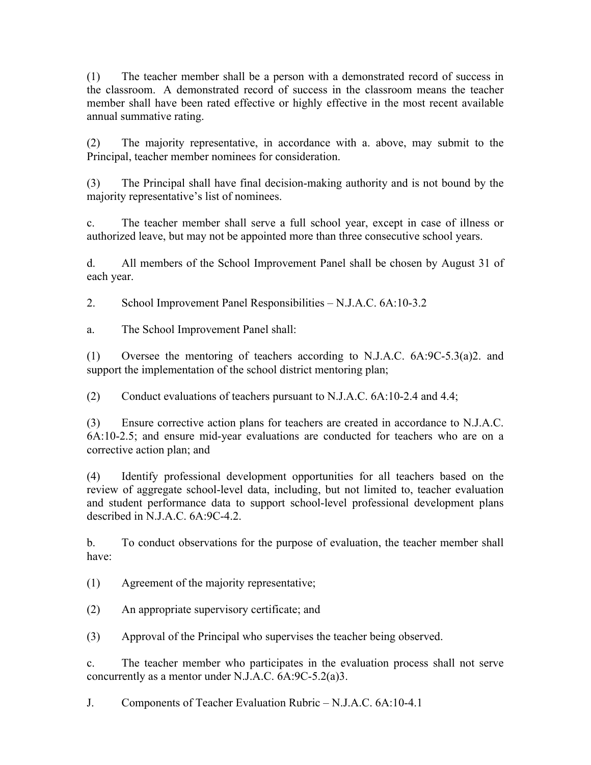(1) The teacher member shall be a person with a demonstrated record of success in the classroom. A demonstrated record of success in the classroom means the teacher member shall have been rated effective or highly effective in the most recent available annual summative rating.

(2) The majority representative, in accordance with a. above, may submit to the Principal, teacher member nominees for consideration.

(3) The Principal shall have final decision-making authority and is not bound by the majority representative's list of nominees.

c. The teacher member shall serve a full school year, except in case of illness or authorized leave, but may not be appointed more than three consecutive school years.

d. All members of the School Improvement Panel shall be chosen by August 31 of each year.

2. School Improvement Panel Responsibilities – N.J.A.C. 6A:10-3.2

a. The School Improvement Panel shall:

(1) Oversee the mentoring of teachers according to N.J.A.C. 6A:9C-5.3(a)2. and support the implementation of the school district mentoring plan;

(2) Conduct evaluations of teachers pursuant to N.J.A.C. 6A:10-2.4 and 4.4;

(3) Ensure corrective action plans for teachers are created in accordance to N.J.A.C. 6A:10-2.5; and ensure mid-year evaluations are conducted for teachers who are on a corrective action plan; and

(4) Identify professional development opportunities for all teachers based on the review of aggregate school-level data, including, but not limited to, teacher evaluation and student performance data to support school-level professional development plans described in N.J.A.C. 6A:9C-4.2.

b. To conduct observations for the purpose of evaluation, the teacher member shall have:

(1) Agreement of the majority representative;

(2) An appropriate supervisory certificate; and

(3) Approval of the Principal who supervises the teacher being observed.

c. The teacher member who participates in the evaluation process shall not serve concurrently as a mentor under N.J.A.C. 6A:9C-5.2(a)3.

J. Components of Teacher Evaluation Rubric – N.J.A.C. 6A:10-4.1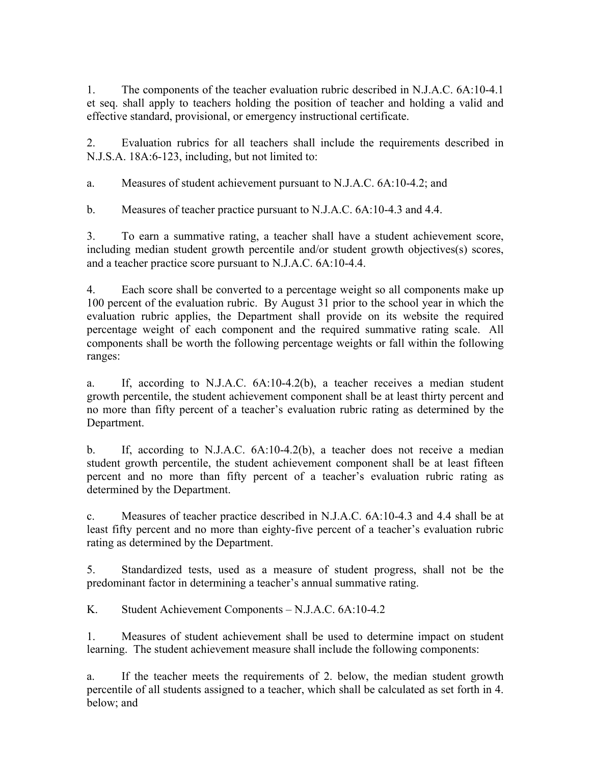1. The components of the teacher evaluation rubric described in N.J.A.C. 6A:10-4.1 et seq. shall apply to teachers holding the position of teacher and holding a valid and effective standard, provisional, or emergency instructional certificate.

2. Evaluation rubrics for all teachers shall include the requirements described in N.J.S.A. 18A:6-123, including, but not limited to:

a. Measures of student achievement pursuant to N.J.A.C. 6A:10-4.2; and

b. Measures of teacher practice pursuant to N.J.A.C. 6A:10-4.3 and 4.4.

3. To earn a summative rating, a teacher shall have a student achievement score, including median student growth percentile and/or student growth objectives(s) scores, and a teacher practice score pursuant to N.J.A.C. 6A:10-4.4.

4. Each score shall be converted to a percentage weight so all components make up 100 percent of the evaluation rubric. By August 31 prior to the school year in which the evaluation rubric applies, the Department shall provide on its website the required percentage weight of each component and the required summative rating scale. All components shall be worth the following percentage weights or fall within the following ranges:

a. If, according to N.J.A.C. 6A:10-4.2(b), a teacher receives a median student growth percentile, the student achievement component shall be at least thirty percent and no more than fifty percent of a teacher's evaluation rubric rating as determined by the Department.

b. If, according to N.J.A.C. 6A:10-4.2(b), a teacher does not receive a median student growth percentile, the student achievement component shall be at least fifteen percent and no more than fifty percent of a teacher's evaluation rubric rating as determined by the Department.

c. Measures of teacher practice described in N.J.A.C. 6A:10-4.3 and 4.4 shall be at least fifty percent and no more than eighty-five percent of a teacher's evaluation rubric rating as determined by the Department.

5. Standardized tests, used as a measure of student progress, shall not be the predominant factor in determining a teacher's annual summative rating.

K. Student Achievement Components – N.J.A.C. 6A:10-4.2

1. Measures of student achievement shall be used to determine impact on student learning. The student achievement measure shall include the following components:

a. If the teacher meets the requirements of 2. below, the median student growth percentile of all students assigned to a teacher, which shall be calculated as set forth in 4. below; and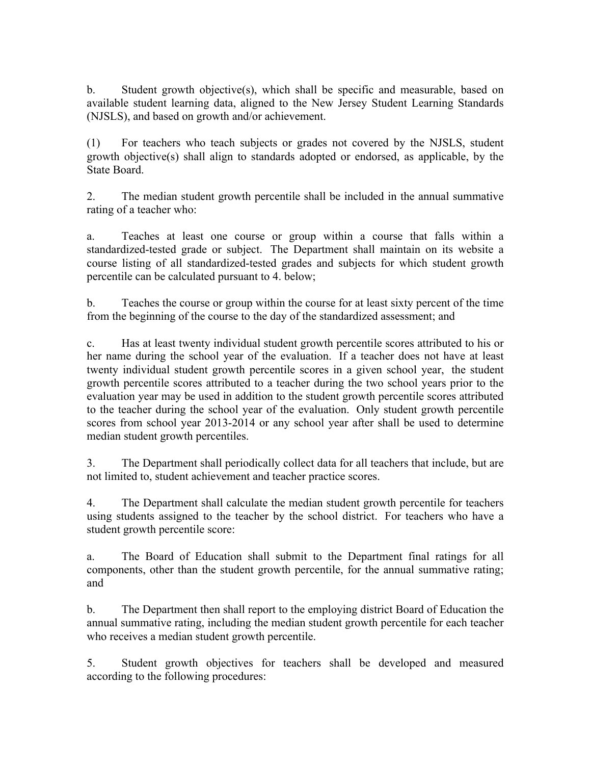b. Student growth objective(s), which shall be specific and measurable, based on available student learning data, aligned to the New Jersey Student Learning Standards (NJSLS), and based on growth and/or achievement.

(1) For teachers who teach subjects or grades not covered by the NJSLS, student growth objective(s) shall align to standards adopted or endorsed, as applicable, by the State Board.

2. The median student growth percentile shall be included in the annual summative rating of a teacher who:

a. Teaches at least one course or group within a course that falls within a standardized-tested grade or subject. The Department shall maintain on its website a course listing of all standardized-tested grades and subjects for which student growth percentile can be calculated pursuant to 4. below;

b. Teaches the course or group within the course for at least sixty percent of the time from the beginning of the course to the day of the standardized assessment; and

c. Has at least twenty individual student growth percentile scores attributed to his or her name during the school year of the evaluation. If a teacher does not have at least twenty individual student growth percentile scores in a given school year, the student growth percentile scores attributed to a teacher during the two school years prior to the evaluation year may be used in addition to the student growth percentile scores attributed to the teacher during the school year of the evaluation. Only student growth percentile scores from school year 2013-2014 or any school year after shall be used to determine median student growth percentiles.

3. The Department shall periodically collect data for all teachers that include, but are not limited to, student achievement and teacher practice scores.

4. The Department shall calculate the median student growth percentile for teachers using students assigned to the teacher by the school district. For teachers who have a student growth percentile score:

a. The Board of Education shall submit to the Department final ratings for all components, other than the student growth percentile, for the annual summative rating; and

b. The Department then shall report to the employing district Board of Education the annual summative rating, including the median student growth percentile for each teacher who receives a median student growth percentile.

5. Student growth objectives for teachers shall be developed and measured according to the following procedures: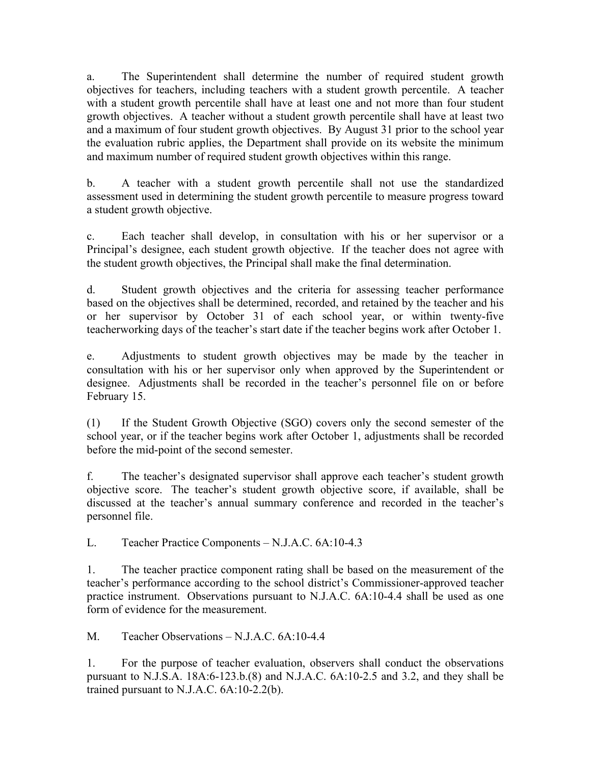a. The Superintendent shall determine the number of required student growth objectives for teachers, including teachers with a student growth percentile. A teacher with a student growth percentile shall have at least one and not more than four student growth objectives. A teacher without a student growth percentile shall have at least two and a maximum of four student growth objectives. By August 31 prior to the school year the evaluation rubric applies, the Department shall provide on its website the minimum and maximum number of required student growth objectives within this range.

b. A teacher with a student growth percentile shall not use the standardized assessment used in determining the student growth percentile to measure progress toward a student growth objective.

c. Each teacher shall develop, in consultation with his or her supervisor or a Principal's designee, each student growth objective. If the teacher does not agree with the student growth objectives, the Principal shall make the final determination.

d. Student growth objectives and the criteria for assessing teacher performance based on the objectives shall be determined, recorded, and retained by the teacher and his or her supervisor by October 31 of each school year, or within twenty-five teacherworking days of the teacher's start date if the teacher begins work after October 1.

e. Adjustments to student growth objectives may be made by the teacher in consultation with his or her supervisor only when approved by the Superintendent or designee. Adjustments shall be recorded in the teacher's personnel file on or before February 15.

(1) If the Student Growth Objective (SGO) covers only the second semester of the school year, or if the teacher begins work after October 1, adjustments shall be recorded before the mid-point of the second semester.

f. The teacher's designated supervisor shall approve each teacher's student growth objective score. The teacher's student growth objective score, if available, shall be discussed at the teacher's annual summary conference and recorded in the teacher's personnel file.

L. Teacher Practice Components – N.J.A.C. 6A:10-4.3

1. The teacher practice component rating shall be based on the measurement of the teacher's performance according to the school district's Commissioner-approved teacher practice instrument. Observations pursuant to N.J.A.C. 6A:10-4.4 shall be used as one form of evidence for the measurement.

M. Teacher Observations – N.J.A.C. 6A:10-4.4

1. For the purpose of teacher evaluation, observers shall conduct the observations pursuant to N.J.S.A. 18A:6-123.b.(8) and N.J.A.C. 6A:10-2.5 and 3.2, and they shall be trained pursuant to N.J.A.C. 6A:10-2.2(b).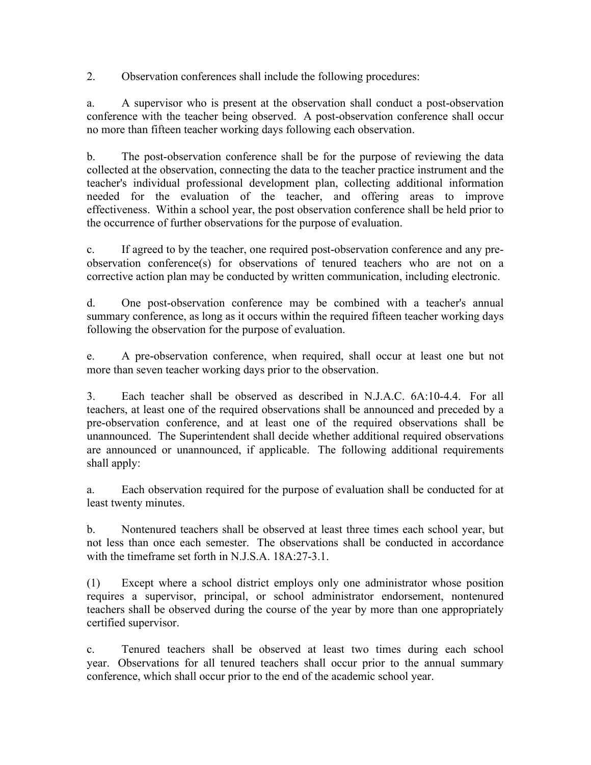2. Observation conferences shall include the following procedures:

a. A supervisor who is present at the observation shall conduct a post-observation conference with the teacher being observed. A post-observation conference shall occur no more than fifteen teacher working days following each observation.

b. The post-observation conference shall be for the purpose of reviewing the data collected at the observation, connecting the data to the teacher practice instrument and the teacher's individual professional development plan, collecting additional information needed for the evaluation of the teacher, and offering areas to improve effectiveness. Within a school year, the post observation conference shall be held prior to the occurrence of further observations for the purpose of evaluation.

c. If agreed to by the teacher, one required post-observation conference and any preobservation conference(s) for observations of tenured teachers who are not on a corrective action plan may be conducted by written communication, including electronic.

d. One post-observation conference may be combined with a teacher's annual summary conference, as long as it occurs within the required fifteen teacher working days following the observation for the purpose of evaluation.

e. A pre-observation conference, when required, shall occur at least one but not more than seven teacher working days prior to the observation.

3. Each teacher shall be observed as described in N.J.A.C. 6A:10-4.4. For all teachers, at least one of the required observations shall be announced and preceded by a pre-observation conference, and at least one of the required observations shall be unannounced. The Superintendent shall decide whether additional required observations are announced or unannounced, if applicable. The following additional requirements shall apply:

a. Each observation required for the purpose of evaluation shall be conducted for at least twenty minutes.

b. Nontenured teachers shall be observed at least three times each school year, but not less than once each semester. The observations shall be conducted in accordance with the timeframe set forth in N.J.S.A. 18A:27-3.1.

(1) Except where a school district employs only one administrator whose position requires a supervisor, principal, or school administrator endorsement, nontenured teachers shall be observed during the course of the year by more than one appropriately certified supervisor.

c. Tenured teachers shall be observed at least two times during each school year. Observations for all tenured teachers shall occur prior to the annual summary conference, which shall occur prior to the end of the academic school year.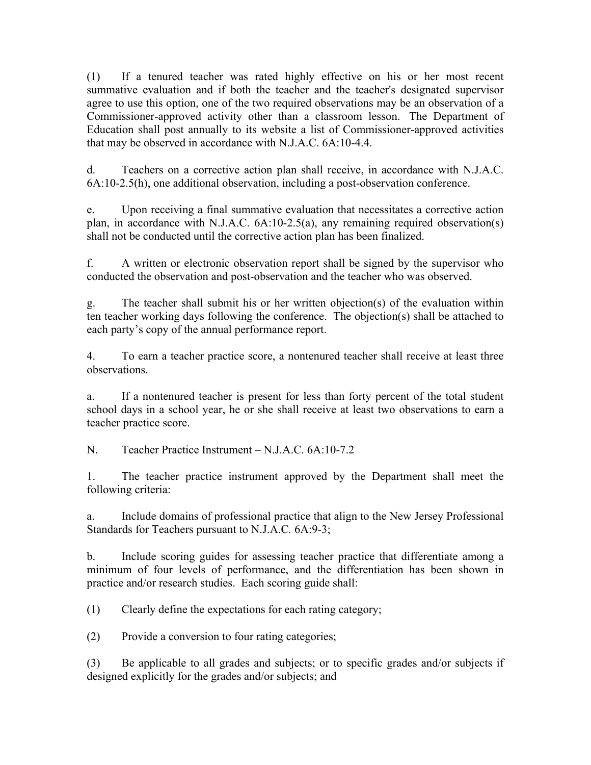(1) If a tenured teacher was rated highly effective on his or her most recent summative evaluation and if both the teacher and the teacher's designated supervisor agree to use this option, one of the two required observations may be an observation of a Commissioner-approved activity other than a classroom lesson. The Department of Education shall post annually to its website a list of Commissioner-approved activities that may be observed in accordance with N.J.A.C. 6A:10-4.4.

d. Teachers on a corrective action plan shall receive, in accordance with N.J.A.C. 6A:10-2.5(h), one additional observation, including a post-observation conference.

e. Upon receiving a final summative evaluation that necessitates a corrective action plan, in accordance with N.J.A.C. 6A:10-2.5(a), any remaining required observation(s) shall not be conducted until the corrective action plan has been finalized.

f. A written or electronic observation report shall be signed by the supervisor who conducted the observation and post-observation and the teacher who was observed.

g. The teacher shall submit his or her written objection(s) of the evaluation within ten teacher working days following the conference. The objection(s) shall be attached to each party's copy of the annual performance report.

4. To earn a teacher practice score, a nontenured teacher shall receive at least three observations.

a. If a nontenured teacher is present for less than forty percent of the total student school days in a school year, he or she shall receive at least two observations to earn a teacher practice score.

N. Teacher Practice Instrument – N.J.A.C. 6A:10-7.2

1. The teacher practice instrument approved by the Department shall meet the following criteria:

a. Include domains of professional practice that align to the New Jersey Professional Standards for Teachers pursuant to N.J.A.C*.* 6A:9-3;

b. Include scoring guides for assessing teacher practice that differentiate among a minimum of four levels of performance, and the differentiation has been shown in practice and/or research studies. Each scoring guide shall:

(1) Clearly define the expectations for each rating category;

(2) Provide a conversion to four rating categories;

(3) Be applicable to all grades and subjects; or to specific grades and/or subjects if designed explicitly for the grades and/or subjects; and